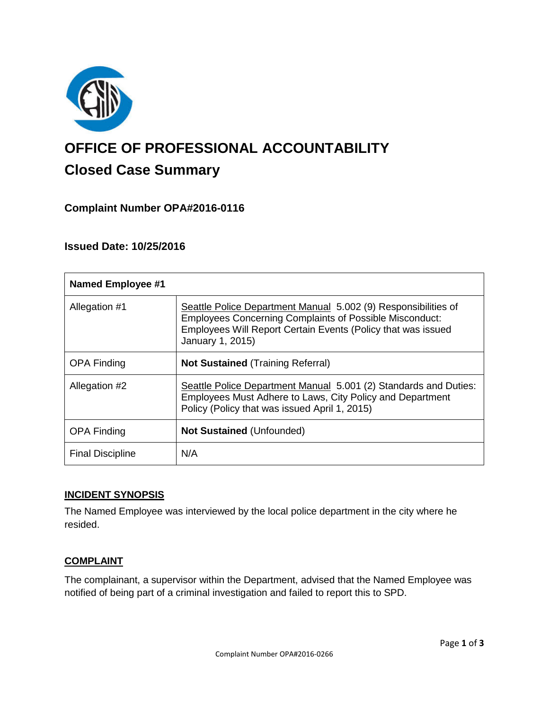

# **OFFICE OF PROFESSIONAL ACCOUNTABILITY Closed Case Summary**

# **Complaint Number OPA#2016-0116**

## **Issued Date: 10/25/2016**

| <b>Named Employee #1</b> |                                                                                                                                                                                                                      |
|--------------------------|----------------------------------------------------------------------------------------------------------------------------------------------------------------------------------------------------------------------|
| Allegation #1            | Seattle Police Department Manual 5.002 (9) Responsibilities of<br><b>Employees Concerning Complaints of Possible Misconduct:</b><br>Employees Will Report Certain Events (Policy that was issued<br>January 1, 2015) |
| <b>OPA Finding</b>       | <b>Not Sustained (Training Referral)</b>                                                                                                                                                                             |
| Allegation #2            | Seattle Police Department Manual 5.001 (2) Standards and Duties:<br>Employees Must Adhere to Laws, City Policy and Department<br>Policy (Policy that was issued April 1, 2015)                                       |
| <b>OPA Finding</b>       | <b>Not Sustained (Unfounded)</b>                                                                                                                                                                                     |
| <b>Final Discipline</b>  | N/A                                                                                                                                                                                                                  |

### **INCIDENT SYNOPSIS**

The Named Employee was interviewed by the local police department in the city where he resided.

#### **COMPLAINT**

The complainant, a supervisor within the Department, advised that the Named Employee was notified of being part of a criminal investigation and failed to report this to SPD.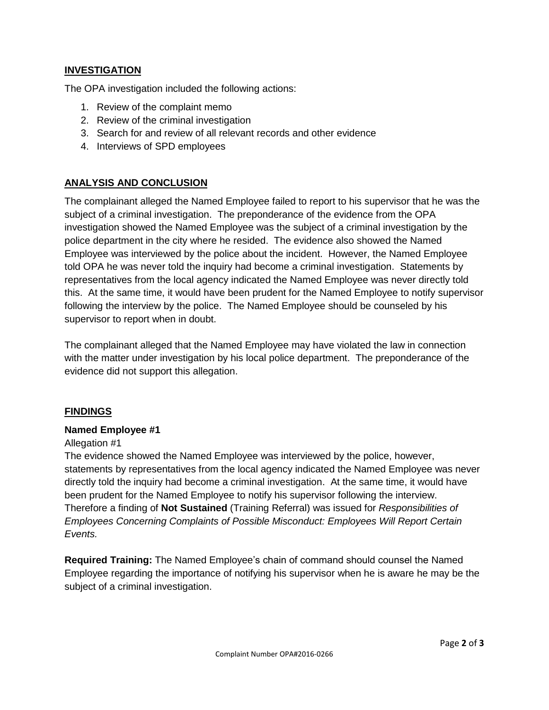## **INVESTIGATION**

The OPA investigation included the following actions:

- 1. Review of the complaint memo
- 2. Review of the criminal investigation
- 3. Search for and review of all relevant records and other evidence
- 4. Interviews of SPD employees

## **ANALYSIS AND CONCLUSION**

The complainant alleged the Named Employee failed to report to his supervisor that he was the subject of a criminal investigation. The preponderance of the evidence from the OPA investigation showed the Named Employee was the subject of a criminal investigation by the police department in the city where he resided. The evidence also showed the Named Employee was interviewed by the police about the incident. However, the Named Employee told OPA he was never told the inquiry had become a criminal investigation. Statements by representatives from the local agency indicated the Named Employee was never directly told this. At the same time, it would have been prudent for the Named Employee to notify supervisor following the interview by the police. The Named Employee should be counseled by his supervisor to report when in doubt.

The complainant alleged that the Named Employee may have violated the law in connection with the matter under investigation by his local police department. The preponderance of the evidence did not support this allegation.

### **FINDINGS**

#### **Named Employee #1**

#### Allegation #1

The evidence showed the Named Employee was interviewed by the police, however, statements by representatives from the local agency indicated the Named Employee was never directly told the inquiry had become a criminal investigation. At the same time, it would have been prudent for the Named Employee to notify his supervisor following the interview. Therefore a finding of **Not Sustained** (Training Referral) was issued for *Responsibilities of Employees Concerning Complaints of Possible Misconduct: Employees Will Report Certain Events.*

**Required Training:** The Named Employee's chain of command should counsel the Named Employee regarding the importance of notifying his supervisor when he is aware he may be the subject of a criminal investigation.